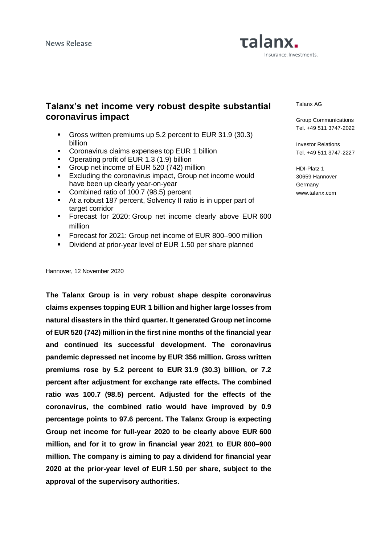# Talanx. Insurance. Investments.

# **Talanx's net income very robust despite substantial coronavirus impact**

- Gross written premiums up 5.2 percent to EUR 31.9 (30.3) billion
- **Coronavirus claims expenses top EUR 1 billion**
- Operating profit of EUR 1.3 (1.9) billion
- **Group net income of EUR 520 (742) million**
- Excluding the coronavirus impact, Group net income would have been up clearly year-on-year
- Combined ratio of 100.7 (98.5) percent
- At a robust 187 percent, Solvency II ratio is in upper part of target corridor
- **EXEC** Forecast for 2020: Group net income clearly above EUR 600 million
- Forecast for 2021: Group net income of EUR 800-900 million
- Dividend at prior-year level of EUR 1.50 per share planned

Hannover, 12 November 2020

**The Talanx Group is in very robust shape despite coronavirus claims expenses topping EUR 1 billion and higher large losses from natural disasters in the third quarter. It generated Group net income of EUR 520 (742) million in the first nine months of the financial year and continued its successful development. The coronavirus pandemic depressed net income by EUR 356 million. Gross written premiums rose by 5.2 percent to EUR 31.9 (30.3) billion, or 7.2 percent after adjustment for exchange rate effects. The combined ratio was 100.7 (98.5) percent. Adjusted for the effects of the coronavirus, the combined ratio would have improved by 0.9 percentage points to 97.6 percent. The Talanx Group is expecting Group net income for full-year 2020 to be clearly above EUR 600 million, and for it to grow in financial year 2021 to EUR 800–900 million. The company is aiming to pay a dividend for financial year 2020 at the prior-year level of EUR 1.50 per share, subject to the approval of the supervisory authorities.**

Talanx AG

Group Communications Tel. +49 511 3747-2022

Investor Relations Tel. +49 511 3747-2227

HDI-Platz 1 30659 Hannover **Germany** www.talanx.com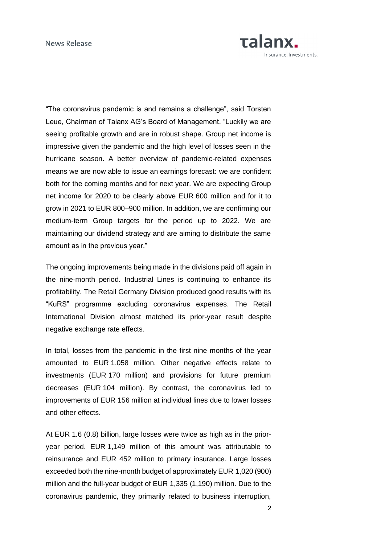

"The coronavirus pandemic is and remains a challenge", said Torsten Leue, Chairman of Talanx AG's Board of Management. "Luckily we are seeing profitable growth and are in robust shape. Group net income is impressive given the pandemic and the high level of losses seen in the hurricane season. A better overview of pandemic-related expenses means we are now able to issue an earnings forecast: we are confident both for the coming months and for next year. We are expecting Group net income for 2020 to be clearly above EUR 600 million and for it to grow in 2021 to EUR 800–900 million. In addition, we are confirming our medium-term Group targets for the period up to 2022. We are maintaining our dividend strategy and are aiming to distribute the same amount as in the previous year."

The ongoing improvements being made in the divisions paid off again in the nine-month period. Industrial Lines is continuing to enhance its profitability. The Retail Germany Division produced good results with its "KuRS" programme excluding coronavirus expenses. The Retail International Division almost matched its prior-year result despite negative exchange rate effects.

In total, losses from the pandemic in the first nine months of the year amounted to EUR 1,058 million. Other negative effects relate to investments (EUR 170 million) and provisions for future premium decreases (EUR 104 million). By contrast, the coronavirus led to improvements of EUR 156 million at individual lines due to lower losses and other effects.

At EUR 1.6 (0.8) billion, large losses were twice as high as in the prioryear period. EUR 1,149 million of this amount was attributable to reinsurance and EUR 452 million to primary insurance. Large losses exceeded both the nine-month budget of approximately EUR 1,020 (900) million and the full-year budget of EUR 1,335 (1,190) million. Due to the coronavirus pandemic, they primarily related to business interruption,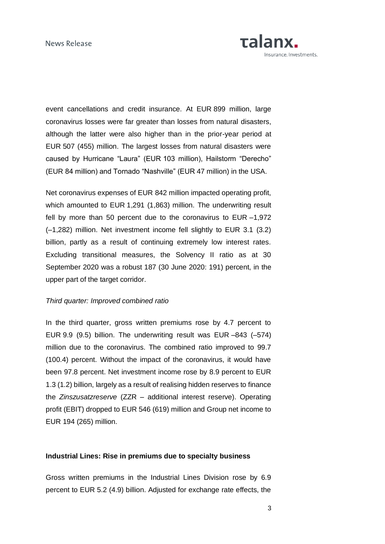

event cancellations and credit insurance. At EUR 899 million, large coronavirus losses were far greater than losses from natural disasters, although the latter were also higher than in the prior-year period at EUR 507 (455) million. The largest losses from natural disasters were caused by Hurricane "Laura" (EUR 103 million), Hailstorm "Derecho" (EUR 84 million) and Tornado "Nashville" (EUR 47 million) in the USA.

Net coronavirus expenses of EUR 842 million impacted operating profit, which amounted to EUR 1,291 (1,863) million. The underwriting result fell by more than 50 percent due to the coronavirus to EUR –1,972 (–1,282) million. Net investment income fell slightly to EUR 3.1 (3.2) billion, partly as a result of continuing extremely low interest rates. Excluding transitional measures, the Solvency II ratio as at 30 September 2020 was a robust 187 (30 June 2020: 191) percent, in the upper part of the target corridor.

## *Third quarter: Improved combined ratio*

In the third quarter, gross written premiums rose by 4.7 percent to EUR 9.9 (9.5) billion. The underwriting result was EUR –843 (–574) million due to the coronavirus. The combined ratio improved to 99.7 (100.4) percent. Without the impact of the coronavirus, it would have been 97.8 percent. Net investment income rose by 8.9 percent to EUR 1.3 (1.2) billion, largely as a result of realising hidden reserves to finance the *Zinszusatzreserve* (ZZR – additional interest reserve). Operating profit (EBIT) dropped to EUR 546 (619) million and Group net income to EUR 194 (265) million.

#### **Industrial Lines: Rise in premiums due to specialty business**

Gross written premiums in the Industrial Lines Division rose by 6.9 percent to EUR 5.2 (4.9) billion. Adjusted for exchange rate effects, the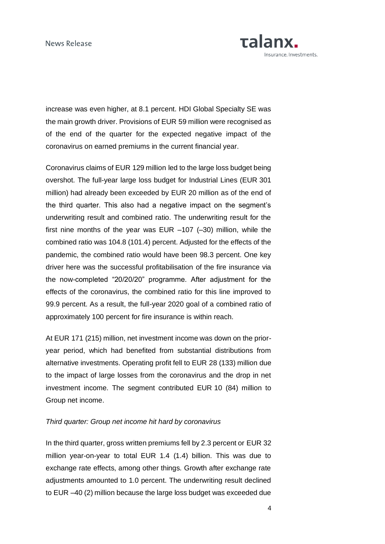

increase was even higher, at 8.1 percent. HDI Global Specialty SE was the main growth driver. Provisions of EUR 59 million were recognised as of the end of the quarter for the expected negative impact of the coronavirus on earned premiums in the current financial year.

Coronavirus claims of EUR 129 million led to the large loss budget being overshot. The full-year large loss budget for Industrial Lines (EUR 301 million) had already been exceeded by EUR 20 million as of the end of the third quarter. This also had a negative impact on the segment's underwriting result and combined ratio. The underwriting result for the first nine months of the year was EUR –107 (–30) million, while the combined ratio was 104.8 (101.4) percent. Adjusted for the effects of the pandemic, the combined ratio would have been 98.3 percent. One key driver here was the successful profitabilisation of the fire insurance via the now-completed "20/20/20" programme. After adjustment for the effects of the coronavirus, the combined ratio for this line improved to 99.9 percent. As a result, the full-year 2020 goal of a combined ratio of approximately 100 percent for fire insurance is within reach.

At EUR 171 (215) million, net investment income was down on the prioryear period, which had benefited from substantial distributions from alternative investments. Operating profit fell to EUR 28 (133) million due to the impact of large losses from the coronavirus and the drop in net investment income. The segment contributed EUR 10 (84) million to Group net income.

# *Third quarter: Group net income hit hard by coronavirus*

In the third quarter, gross written premiums fell by 2.3 percent or EUR 32 million year-on-year to total EUR 1.4 (1.4) billion. This was due to exchange rate effects, among other things. Growth after exchange rate adjustments amounted to 1.0 percent. The underwriting result declined to EUR –40 (2) million because the large loss budget was exceeded due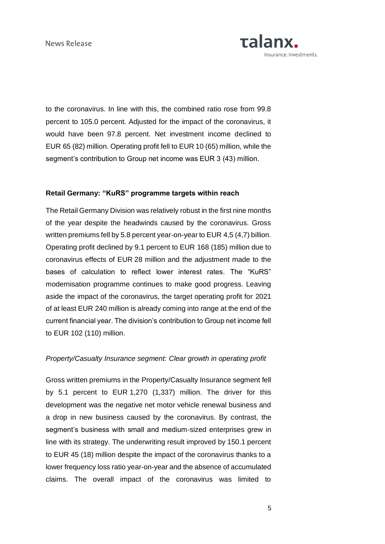

to the coronavirus. In line with this, the combined ratio rose from 99.8 percent to 105.0 percent. Adjusted for the impact of the coronavirus, it would have been 97.8 percent. Net investment income declined to EUR 65 (82) million. Operating profit fell to EUR 10 (65) million, while the segment's contribution to Group net income was EUR 3 (43) million.

# **Retail Germany: "KuRS" programme targets within reach**

The Retail Germany Division was relatively robust in the first nine months of the year despite the headwinds caused by the coronavirus. Gross written premiums fell by 5.8 percent year-on-year to EUR 4,5 (4,7) billion. Operating profit declined by 9.1 percent to EUR 168 (185) million due to coronavirus effects of EUR 28 million and the adjustment made to the bases of calculation to reflect lower interest rates. The "KuRS" modernisation programme continues to make good progress. Leaving aside the impact of the coronavirus, the target operating profit for 2021 of at least EUR 240 million is already coming into range at the end of the current financial year. The division's contribution to Group net income fell to EUR 102 (110) million.

# *Property/Casualty Insurance segment: Clear growth in operating profit*

Gross written premiums in the Property/Casualty Insurance segment fell by 5.1 percent to EUR 1,270 (1,337) million. The driver for this development was the negative net motor vehicle renewal business and a drop in new business caused by the coronavirus. By contrast, the segment's business with small and medium-sized enterprises grew in line with its strategy. The underwriting result improved by 150.1 percent to EUR 45 (18) million despite the impact of the coronavirus thanks to a lower frequency loss ratio year-on-year and the absence of accumulated claims. The overall impact of the coronavirus was limited to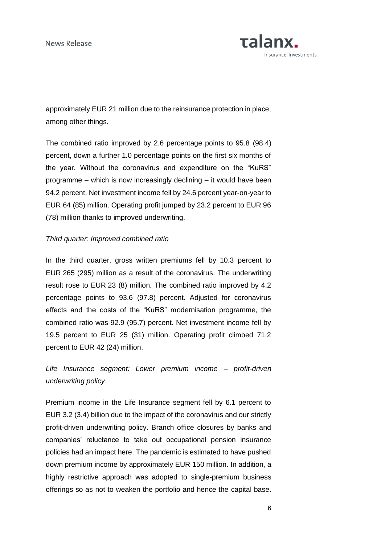

approximately EUR 21 million due to the reinsurance protection in place, among other things.

The combined ratio improved by 2.6 percentage points to 95.8 (98.4) percent, down a further 1.0 percentage points on the first six months of the year. Without the coronavirus and expenditure on the "KuRS" programme – which is now increasingly declining – it would have been 94.2 percent. Net investment income fell by 24.6 percent year-on-year to EUR 64 (85) million. Operating profit jumped by 23.2 percent to EUR 96 (78) million thanks to improved underwriting.

#### *Third quarter: Improved combined ratio*

In the third quarter, gross written premiums fell by 10.3 percent to EUR 265 (295) million as a result of the coronavirus. The underwriting result rose to EUR 23 (8) million. The combined ratio improved by 4.2 percentage points to 93.6 (97.8) percent. Adjusted for coronavirus effects and the costs of the "KuRS" modernisation programme, the combined ratio was 92.9 (95.7) percent. Net investment income fell by 19.5 percent to EUR 25 (31) million. Operating profit climbed 71.2 percent to EUR 42 (24) million.

*Life Insurance segment: Lower premium income – profit-driven underwriting policy*

Premium income in the Life Insurance segment fell by 6.1 percent to EUR 3.2 (3.4) billion due to the impact of the coronavirus and our strictly profit-driven underwriting policy. Branch office closures by banks and companies' reluctance to take out occupational pension insurance policies had an impact here. The pandemic is estimated to have pushed down premium income by approximately EUR 150 million. In addition, a highly restrictive approach was adopted to single-premium business offerings so as not to weaken the portfolio and hence the capital base.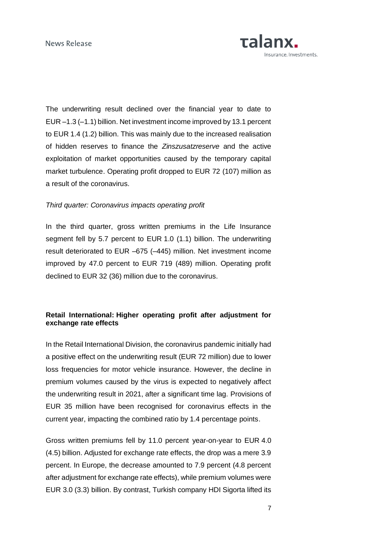

The underwriting result declined over the financial year to date to EUR –1.3 (–1.1) billion. Net investment income improved by 13.1 percent to EUR 1.4 (1.2) billion. This was mainly due to the increased realisation of hidden reserves to finance the *Zinszusatzreserve* and the active exploitation of market opportunities caused by the temporary capital market turbulence. Operating profit dropped to EUR 72 (107) million as a result of the coronavirus.

# *Third quarter: Coronavirus impacts operating profit*

In the third quarter, gross written premiums in the Life Insurance segment fell by 5.7 percent to EUR 1.0 (1.1) billion. The underwriting result deteriorated to EUR –675 (–445) million. Net investment income improved by 47.0 percent to EUR 719 (489) million. Operating profit declined to EUR 32 (36) million due to the coronavirus.

# **Retail International: Higher operating profit after adjustment for exchange rate effects**

In the Retail International Division, the coronavirus pandemic initially had a positive effect on the underwriting result (EUR 72 million) due to lower loss frequencies for motor vehicle insurance. However, the decline in premium volumes caused by the virus is expected to negatively affect the underwriting result in 2021, after a significant time lag. Provisions of EUR 35 million have been recognised for coronavirus effects in the current year, impacting the combined ratio by 1.4 percentage points.

Gross written premiums fell by 11.0 percent year-on-year to EUR 4.0 (4.5) billion. Adjusted for exchange rate effects, the drop was a mere 3.9 percent. In Europe, the decrease amounted to 7.9 percent (4.8 percent after adjustment for exchange rate effects), while premium volumes were EUR 3.0 (3.3) billion. By contrast, Turkish company HDI Sigorta lifted its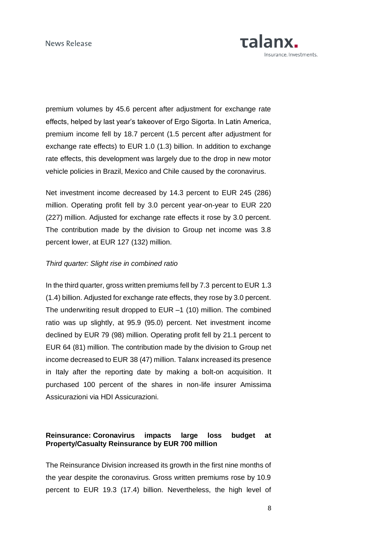

premium volumes by 45.6 percent after adjustment for exchange rate effects, helped by last year's takeover of Ergo Sigorta. In Latin America, premium income fell by 18.7 percent (1.5 percent after adjustment for exchange rate effects) to EUR 1.0 (1.3) billion. In addition to exchange rate effects, this development was largely due to the drop in new motor vehicle policies in Brazil, Mexico and Chile caused by the coronavirus.

Net investment income decreased by 14.3 percent to EUR 245 (286) million. Operating profit fell by 3.0 percent year-on-year to EUR 220 (227) million. Adjusted for exchange rate effects it rose by 3.0 percent. The contribution made by the division to Group net income was 3.8 percent lower, at EUR 127 (132) million.

#### *Third quarter: Slight rise in combined ratio*

In the third quarter, gross written premiums fell by 7.3 percent to EUR 1.3 (1.4) billion. Adjusted for exchange rate effects, they rose by 3.0 percent. The underwriting result dropped to EUR –1 (10) million. The combined ratio was up slightly, at 95.9 (95.0) percent. Net investment income declined by EUR 79 (98) million. Operating profit fell by 21.1 percent to EUR 64 (81) million. The contribution made by the division to Group net income decreased to EUR 38 (47) million. Talanx increased its presence in Italy after the reporting date by making a bolt-on acquisition. It purchased 100 percent of the shares in non-life insurer Amissima Assicurazioni via HDI Assicurazioni.

# **Reinsurance: Coronavirus impacts large loss budget at Property/Casualty Reinsurance by EUR 700 million**

The Reinsurance Division increased its growth in the first nine months of the year despite the coronavirus. Gross written premiums rose by 10.9 percent to EUR 19.3 (17.4) billion. Nevertheless, the high level of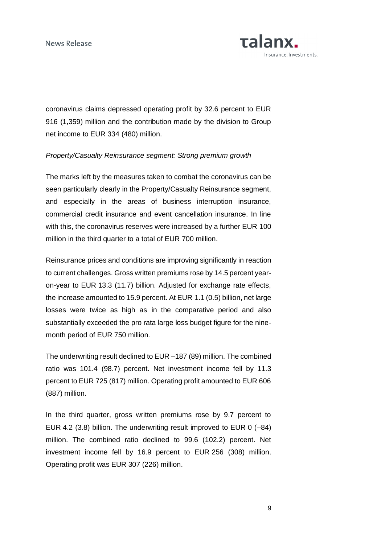

coronavirus claims depressed operating profit by 32.6 percent to EUR 916 (1,359) million and the contribution made by the division to Group net income to EUR 334 (480) million.

# *Property/Casualty Reinsurance segment: Strong premium growth*

The marks left by the measures taken to combat the coronavirus can be seen particularly clearly in the Property/Casualty Reinsurance segment, and especially in the areas of business interruption insurance, commercial credit insurance and event cancellation insurance. In line with this, the coronavirus reserves were increased by a further EUR 100 million in the third quarter to a total of EUR 700 million.

Reinsurance prices and conditions are improving significantly in reaction to current challenges. Gross written premiums rose by 14.5 percent yearon-year to EUR 13.3 (11.7) billion. Adjusted for exchange rate effects, the increase amounted to 15.9 percent. At EUR 1.1 (0.5) billion, net large losses were twice as high as in the comparative period and also substantially exceeded the pro rata large loss budget figure for the ninemonth period of EUR 750 million.

The underwriting result declined to EUR –187 (89) million. The combined ratio was 101.4 (98.7) percent. Net investment income fell by 11.3 percent to EUR 725 (817) million. Operating profit amounted to EUR 606 (887) million.

In the third quarter, gross written premiums rose by 9.7 percent to EUR 4.2 (3.8) billion. The underwriting result improved to EUR 0 (–84) million. The combined ratio declined to 99.6 (102.2) percent. Net investment income fell by 16.9 percent to EUR 256 (308) million. Operating profit was EUR 307 (226) million.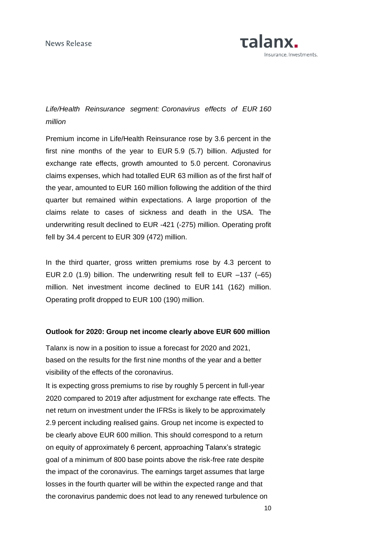

# *Life/Health Reinsurance segment: Coronavirus effects of EUR 160 million*

Premium income in Life/Health Reinsurance rose by 3.6 percent in the first nine months of the year to EUR 5.9 (5.7) billion. Adjusted for exchange rate effects, growth amounted to 5.0 percent. Coronavirus claims expenses, which had totalled EUR 63 million as of the first half of the year, amounted to EUR 160 million following the addition of the third quarter but remained within expectations. A large proportion of the claims relate to cases of sickness and death in the USA. The underwriting result declined to EUR -421 (-275) million. Operating profit fell by 34.4 percent to EUR 309 (472) million.

In the third quarter, gross written premiums rose by 4.3 percent to EUR 2.0 (1.9) billion. The underwriting result fell to EUR –137 (–65) million. Net investment income declined to EUR 141 (162) million. Operating profit dropped to EUR 100 (190) million.

# **Outlook for 2020: Group net income clearly above EUR 600 million**

Talanx is now in a position to issue a forecast for 2020 and 2021, based on the results for the first nine months of the year and a better visibility of the effects of the coronavirus.

It is expecting gross premiums to rise by roughly 5 percent in full-year 2020 compared to 2019 after adjustment for exchange rate effects. The net return on investment under the IFRSs is likely to be approximately 2.9 percent including realised gains. Group net income is expected to be clearly above EUR 600 million. This should correspond to a return on equity of approximately 6 percent, approaching Talanx's strategic goal of a minimum of 800 base points above the risk-free rate despite the impact of the coronavirus. The earnings target assumes that large losses in the fourth quarter will be within the expected range and that the coronavirus pandemic does not lead to any renewed turbulence on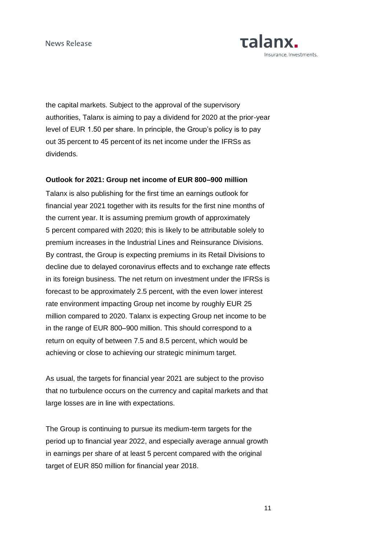

the capital markets. Subject to the approval of the supervisory authorities, Talanx is aiming to pay a dividend for 2020 at the prior-year level of EUR 1.50 per share. In principle, the Group's policy is to pay out 35 percent to 45 percent of its net income under the IFRSs as dividends.

#### **Outlook for 2021: Group net income of EUR 800–900 million**

Talanx is also publishing for the first time an earnings outlook for financial year 2021 together with its results for the first nine months of the current year. It is assuming premium growth of approximately 5 percent compared with 2020; this is likely to be attributable solely to premium increases in the Industrial Lines and Reinsurance Divisions. By contrast, the Group is expecting premiums in its Retail Divisions to decline due to delayed coronavirus effects and to exchange rate effects in its foreign business. The net return on investment under the IFRSs is forecast to be approximately 2.5 percent, with the even lower interest rate environment impacting Group net income by roughly EUR 25 million compared to 2020. Talanx is expecting Group net income to be in the range of EUR 800–900 million. This should correspond to a return on equity of between 7.5 and 8.5 percent, which would be achieving or close to achieving our strategic minimum target.

As usual, the targets for financial year 2021 are subject to the proviso that no turbulence occurs on the currency and capital markets and that large losses are in line with expectations.

The Group is continuing to pursue its medium-term targets for the period up to financial year 2022, and especially average annual growth in earnings per share of at least 5 percent compared with the original target of EUR 850 million for financial year 2018.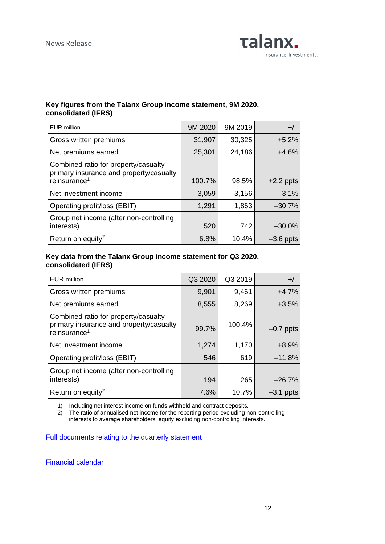

# **Key figures from the Talanx Group income statement, 9M 2020, consolidated (IFRS)**

| <b>EUR</b> million                                                                                          | 9M 2020 | 9M 2019 | $+/-$       |
|-------------------------------------------------------------------------------------------------------------|---------|---------|-------------|
| Gross written premiums                                                                                      | 31,907  | 30,325  | $+5.2%$     |
| Net premiums earned                                                                                         | 25,301  | 24,186  | $+4.6%$     |
| Combined ratio for property/casualty<br>primary insurance and property/casualty<br>reinsurance <sup>1</sup> | 100.7%  | 98.5%   | $+2.2$ ppts |
| Net investment income                                                                                       | 3,059   | 3,156   | $-3.1\%$    |
| Operating profit/loss (EBIT)                                                                                | 1,291   | 1,863   | $-30.7%$    |
| Group net income (after non-controlling<br>interests)                                                       | 520     | 742     | $-30.0\%$   |
| Return on equity <sup>2</sup>                                                                               | 6.8%    | 10.4%   | $-3.6$ ppts |

# **Key data from the Talanx Group income statement for Q3 2020, consolidated (IFRS)**

| <b>EUR million</b>                                                                                          | Q3 2020 | Q3 2019 | $+/-$       |
|-------------------------------------------------------------------------------------------------------------|---------|---------|-------------|
| Gross written premiums                                                                                      | 9,901   | 9,461   | $+4.7%$     |
| Net premiums earned                                                                                         | 8,555   | 8,269   | $+3.5%$     |
| Combined ratio for property/casualty<br>primary insurance and property/casualty<br>reinsurance <sup>1</sup> | 99.7%   | 100.4%  | $-0.7$ ppts |
| Net investment income                                                                                       | 1,274   | 1,170   | $+8.9%$     |
| Operating profit/loss (EBIT)                                                                                | 546     | 619     | $-11.8%$    |
| Group net income (after non-controlling<br>interests)                                                       | 194     | 265     | $-26.7%$    |
| Return on equity <sup>2</sup>                                                                               | 7.6%    | 10.7%   | $-3.1$ ppts |

1) Including net interest income on funds withheld and contract deposits.

2) The ratio of annualised net income for the reporting period excluding non-controlling interests to average shareholders' equity excluding non-controlling interests.

[Full documents relating to the quarterly statement](https://www.talanx.com/investor-relations/presentations-and-events/disclosure/2020.aspx?sc_lang=de-DE)

[Financial calendar](http://www.talanx.com/investor-relations/finanzkalender/termine.aspx)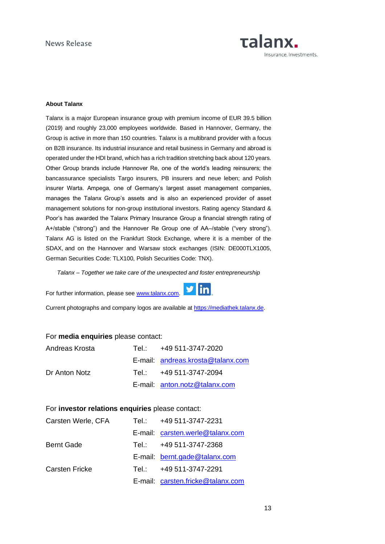

#### **About Talanx**

Talanx is a major European insurance group with premium income of EUR 39.5 billion (2019) and roughly 23,000 employees worldwide. Based in Hannover, Germany, the Group is active in more than 150 countries. Talanx is a multibrand provider with a focus on B2B insurance. Its industrial insurance and retail business in Germany and abroad is operated under the HDI brand, which has a rich tradition stretching back about 120 years. Other Group brands include Hannover Re, one of the world's leading reinsurers; the bancassurance specialists Targo insurers, PB insurers and neue leben; and Polish insurer Warta. Ampega, one of Germany's largest asset management companies, manages the Talanx Group's assets and is also an experienced provider of asset management solutions for non-group institutional investors. Rating agency Standard & Poor's has awarded the Talanx Primary Insurance Group a financial strength rating of A+/stable ("strong") and the Hannover Re Group one of AA–/stable ("very strong"). Talanx AG is listed on the Frankfurt Stock Exchange, where it is a member of the SDAX, and on the Hannover and Warsaw stock exchanges (ISIN: DE000TLX1005, German Securities Code: TLX100, Polish Securities Code: TNX).

*Talanx – Together we take care of the unexpected and foster entrepreneurship*

For further information, please see [www.talanx.com.](http://www.talanx.com/) 



Current photographs and company logos are available at [https://mediathek.talanx.de.](https://mediathek.talanx.de/)

#### For **media enquiries** please contact:

| Andreas Krosta | Tel.: +49 511-3747-2020           |
|----------------|-----------------------------------|
|                | E-mail: andreas.krosta@talanx.com |
| Dr Anton Notz  | Tel.: +49 511-3747-2094           |
|                | E-mail: anton.notz@talanx.com     |

# For **investor relations enquiries** please contact:

| Carsten Werle, CFA    | Tel.: +49 511-3747-2231           |
|-----------------------|-----------------------------------|
|                       | E-mail: carsten.werle@talanx.com  |
| <b>Bernt Gade</b>     | Tel.: +49 511-3747-2368           |
|                       | E-mail: bernt.gade@talanx.com     |
| <b>Carsten Fricke</b> | Tel.: +49 511-3747-2291           |
|                       | E-mail: carsten.fricke@talanx.com |